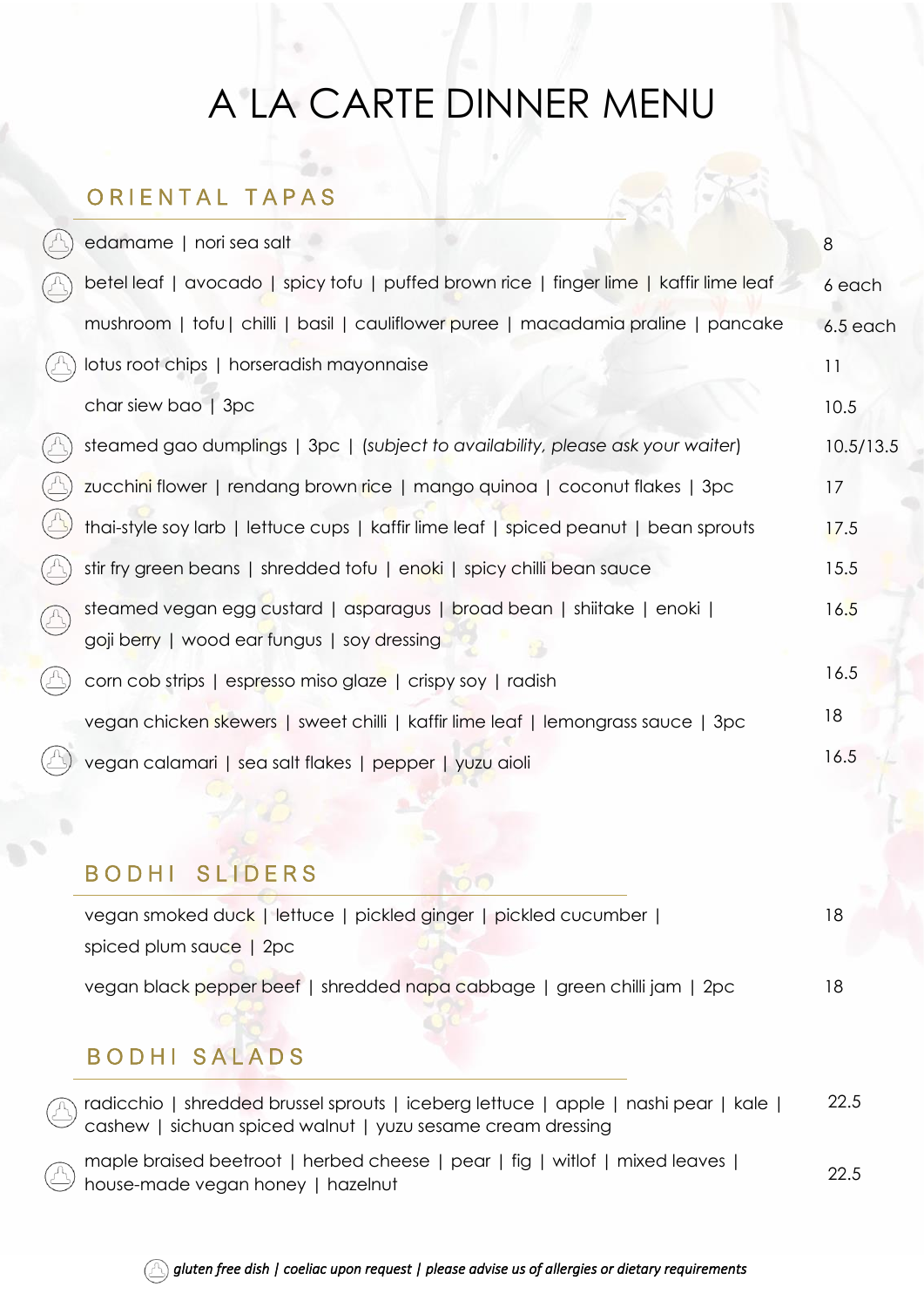## A LA CARTE DINNER MENU

#### ORIENTAL TAPAS

|              | edamame   nori sea salt                                                                                                | 8         |
|--------------|------------------------------------------------------------------------------------------------------------------------|-----------|
|              | betel leaf   avocado   spicy tofu   puffed brown rice   finger lime   kaffir lime leaf                                 | 6 each    |
|              | mushroom   tofu   chilli   basil   cauliflower puree   macadamia praline   pancake                                     | 6.5 each  |
|              | lotus root chips   horseradish mayonnaise                                                                              | 11        |
|              | char siew bao   3pc                                                                                                    | 10.5      |
|              | steamed gao dumplings   3pc   (subject to availability, please ask your waiter)                                        | 10.5/13.5 |
|              | zucchini flower   rendang brown rice   mango quinoa   coconut flakes   3pc                                             | 17        |
|              | thai-style soy larb   lettuce cups   kaffir lime leaf   spiced peanut   bean sprouts                                   | 17.5      |
|              | stir fry green beans   shredded tofu   enoki   spicy chilli bean sauce                                                 | 15.5      |
| $(\triangle$ | steamed vegan egg custard   asparagus   broad bean   shiitake   enoki  <br>goji berry   wood ear fungus   soy dressing | 16.5      |
|              | corn cob strips   espresso miso glaze   crispy soy   radish                                                            | 16.5      |
|              | vegan chicken skewers   sweet chilli   kaffir lime leaf   lemongrass sauce   3pc                                       | 18        |
|              | vegan calamari   sea salt flakes   pepper   yuzu aioli                                                                 | 16.5      |
|              |                                                                                                                        |           |

## BODHI SLIDERS

| vegan smoked duck   lettuce   pickled ginger   pickled cucumber          |  |
|--------------------------------------------------------------------------|--|
| spiced plum sauce   2pc                                                  |  |
| vegan black pepper beef   shredded napa cabbage   green chilli jam   2pc |  |

## B O D H I S A L A D S

radicchio | shredded brussel sprouts | iceberg lettuce | apple | nashi pear | kale | cashew | sichuan spiced walnut | yuzu sesame cream dressing 22.5

maple braised beetroot | herbed cheese | pear | fig | witlof | mixed leaves | house-made vegan honey | hazelnut 22.5